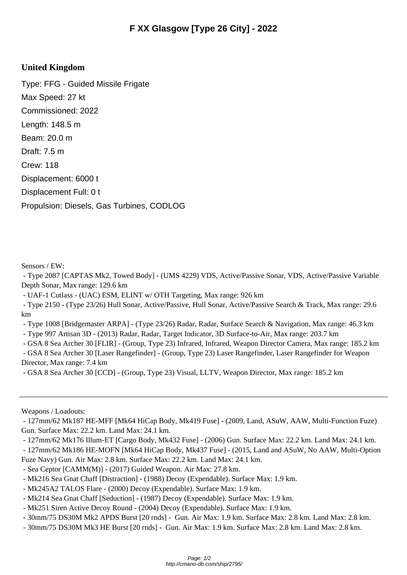## **United Kingdom**

Type: FFG - Guided Missile Frigate Max Speed: 27 kt Commissioned: 2022 Length: 148.5 m Beam: 20.0 m Draft: 7.5 m Crew: 118 Displacement: 6000 t Displacement Full: 0 t Propulsion: Diesels, Gas Turbines, CODLOG

Sensors / EW:

 - Type 2087 [CAPTAS Mk2, Towed Body] - (UMS 4229) VDS, Active/Passive Sonar, VDS, Active/Passive Variable Depth Sonar, Max range: 129.6 km

- UAF-1 Cutlass - (UAC) ESM, ELINT w/ OTH Targeting, Max range: 926 km

 - Type 2150 - (Type 23/26) Hull Sonar, Active/Passive, Hull Sonar, Active/Passive Search & Track, Max range: 29.6 km

- Type 1008 [Bridgemaster ARPA] - (Type 23/26) Radar, Radar, Surface Search & Navigation, Max range: 46.3 km

- Type 997 Artisan 3D - (2013) Radar, Radar, Target Indicator, 3D Surface-to-Air, Max range: 203.7 km

- GSA 8 Sea Archer 30 [FLIR] - (Group, Type 23) Infrared, Infrared, Weapon Director Camera, Max range: 185.2 km

 - GSA 8 Sea Archer 30 [Laser Rangefinder] - (Group, Type 23) Laser Rangefinder, Laser Rangefinder for Weapon Director, Max range: 7.4 km

- GSA 8 Sea Archer 30 [CCD] - (Group, Type 23) Visual, LLTV, Weapon Director, Max range: 185.2 km

Weapons / Loadouts:

 - 127mm/62 Mk187 HE-MFF [Mk64 HiCap Body, Mk419 Fuse] - (2009, Land, ASuW, AAW, Multi-Function Fuze) Gun. Surface Max: 22.2 km. Land Max: 24.1 km.

- 127mm/62 Mk176 Illum-ET [Cargo Body, Mk432 Fuse] - (2006) Gun. Surface Max: 22.2 km. Land Max: 24.1 km.

 - 127mm/62 Mk186 HE-MOFN [Mk64 HiCap Body, Mk437 Fuse] - (2015, Land and ASuW, No AAW, Multi-Option Fuze Navy) Gun. Air Max: 2.8 km. Surface Max: 22.2 km. Land Max: 24.1 km.

- Sea Ceptor [CAMM(M)] (2017) Guided Weapon. Air Max: 27.8 km.
- Mk216 Sea Gnat Chaff [Distraction] (1988) Decoy (Expendable). Surface Max: 1.9 km.
- Mk245A2 TALOS Flare (2000) Decoy (Expendable). Surface Max: 1.9 km.
- Mk214 Sea Gnat Chaff [Seduction] (1987) Decoy (Expendable). Surface Max: 1.9 km.
- Mk251 Siren Active Decoy Round (2004) Decoy (Expendable). Surface Max: 1.9 km.
- 30mm/75 DS30M Mk2 APDS Burst [20 rnds] Gun. Air Max: 1.9 km. Surface Max: 2.8 km. Land Max: 2.8 km.
- 30mm/75 DS30M Mk3 HE Burst [20 rnds] Gun. Air Max: 1.9 km. Surface Max: 2.8 km. Land Max: 2.8 km.